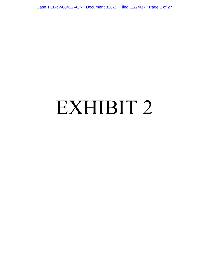Case 1:16-cv-08412-AJN Document 326-2 Filed 11/24/17 Page 1 of 27

### EXHIBIT 2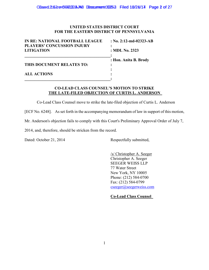### **UNITED STATES DISTRICT COURT FOR THE EASTERN DISTRICT OF PENNSYLVANIA**

| IN RE: NATIONAL FOOTBALL LEAGUE<br><b>PLAYERS' CONCUSSION INJURY</b> | : No. 2:12-md-02323-AB |
|----------------------------------------------------------------------|------------------------|
| <b>LITIGATION</b>                                                    | : MDL No. 2323         |
| THIS DOCUMENT RELATES TO:                                            | : Hon. Anita B. Brody  |
| <b>ALL ACTIONS</b>                                                   |                        |

### **CO-LEAD CLASS COUNSEL'S MOTION TO STRIKE THE LATE-FILED OBJECTION OF CURTIS L. ANDERSON**

Co-Lead Class Counsel move to strike the late-filed objection of Curtis L. Anderson

[ECF No. 6248]. As set forth in the accompanying memorandum of law in support of this motion,

Mr. Anderson's objection fails to comply with this Court's Preliminary Approval Order of July 7,

2014, and, therefore, should be stricken from the record.

Dated: October 21, 2014 Respectfully submitted,

/s/ Christopher A. Seeger Christopher A. Seeger SEEGER WEISS LLP 77 Water Street New York, NY 10005 Phone: (212) 584-0700 Fax: (212) 584-0799 cseeger@seegerweiss.com

**Co-Lead Class Counsel**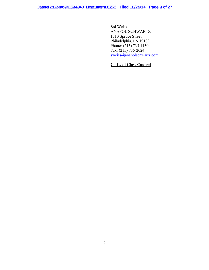Sol Weiss ANAPOL SCHWARTZ 1710 Spruce Street Philadelphia, PA 19103 Phone: (215) 735-1130 Fax:  $(215) 735 - 2024$ sweiss@anapolschwartz.com

### **Co-Lead Class Counsel**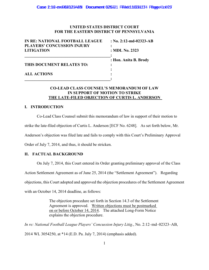### **UNITED STATES DISTRICT COURT FOR THE EASTERN DISTRICT OF PENNSYLVANIA**

| IN RE: NATIONAL FOOTBALL LEAGUE<br><b>PLAYERS' CONCUSSION INJURY</b> | : No. 2:12-md-02323-AB |
|----------------------------------------------------------------------|------------------------|
| <b>LITIGATION</b>                                                    | : MDL No. 2323         |
| THIS DOCUMENT RELATES TO:                                            | : Hon. Anita B. Brody  |
| <b>ALL ACTIONS</b>                                                   |                        |

### **CO-LEAD CLASS COUNSEL'S MEMORANDUM OF LAW IN SUPPORT OF MOTION TO STRIKE THE LATE-FILED OBJECTION OF CURTIS L. ANDERSON**

### **I. INTRODUCTION**

Co-Lead Class Counsel submit this memorandum of law in support of their motion to strike the late-filed objection of Curtis L. Anderson [ECF No. 6248]. As set forth below, Mr. Anderson's objection was filed late and fails to comply with this Court's Preliminary Approval Order of July 7, 2014, and thus, it should be stricken.

### **II. FACTUAL BACKGROUND**

On July 7, 2014, this Court entered its Order granting preliminary approval of the Class

Action Settlement Agreement as of June 25, 2014 (the "Settlement Agreement"). Regarding

objections, this Court adopted and approved the objection procedures of the Settlement Agreement

with an October 14, 2014 deadline, as follows:

The objection procedure set forth in Section 14.3 of the Settlement Agreement is approved. Written objections must be postmarked on or before October 14, 2014. The attached Long-Form Notice explains the objection procedure.

*In re: National Football League Players' Concussion Injury Litig.*, No. 2:12–md–02323–AB, 2014 WL 3054250, at \*14 (E.D. Pa. July 7, 2014) (emphasis added).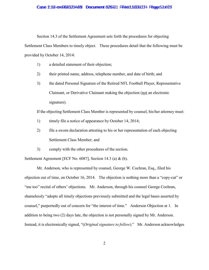### Case 2:12-cve08232344N Document 625321 Filed d10221174 Page 520625

Section 14.3 of the Settlement Agreement sets forth the procedures for objecting Settlement Class Members to timely object. These procedures detail that the following must be provided by October 14, 2014:

- 1) a detailed statement of their objection;
- 2) their printed name, address, telephone number, and date of birth; and
- 3) the dated Personal Signature of the Retired NFL Football Player, Representative Claimant, or Derivative Claimant making the objection (not an electronic signature).

If the objecting Settlement Class Member is represented by counsel, his/her attorney must:

- 1) timely file a notice of appearance by October 14, 2014;
- 2) file a sworn declaration attesting to his or her representation of each objecting Settlement Class Member; and
- 3) comply with the other procedures of the section.

Settlement Agreement [ECF No. 6087], Section 14.3 (a) & (b).

Mr. Anderson, who is represented by counsel, George W. Cochran, Esq., filed his objection out of time, on October 16, 2014. The objection is nothing more than a "copy-cat" or "me too" recital of others' objections. Mr. Anderson, through his counsel George Cochran, shamelessly "adopts all timely objections previously submitted and the legal bases asserted by counsel," purportedly out of concern for "the interest of time." Anderson Objection at 1. In addition to being two (2) days late, the objection is not personally signed by Mr. Anderson. Instead, it is electronically signed, "(*Original signature to follow*)." Mr. Anderson acknowledges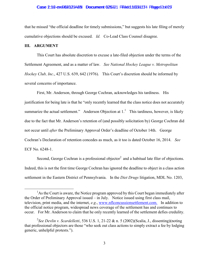### Case 2:12-cvd9823234AB Document 625321 Filded 10021174 Page 63 of 27

that he missed "the official deadline for timely submissions," but suggests his late filing of merely cumulative objections should be excused. *Id.* Co-Lead Class Counsel disagree.

### **III. ARGUMENT**

 $\overline{a}$ 

This Court has absolute discretion to excuse a late-filed objection under the terms of the Settlement Agreement, and as a matter of law. *See National Hockey League v. Metropolitan Hockey Club, Inc*., 427 U.S. 639, 642 (1976). This Court's discretion should be informed by several concerns of importance.

First, Mr. Anderson, through George Cochran, acknowledges his tardiness. His justification for being late is that he "only recently learned that the class notice does not accurately summarize the actual settlement." Anderson Objection at  $1<sup>1</sup>$  This tardiness, however, is likely due to the fact that Mr. Anderson's retention of (and possibly solicitation by) George Cochran did not occur until *after* the Preliminary Approval Order's deadline of October 14th. George Cochran's Declaration of retention concedes as much, as it too is dated October 16, 2014. *See* ECF No. 6248-1.

Second, George Cochran is a professional objector<sup>2</sup> and a habitual late filer of objections. Indeed, this is not the first time George Cochran has ignored the deadline to object in a class action settlement in the Eastern District of Pennsylvania. In the *Diet Drugs* litigation, MDL No. 1203,

 $<sup>1</sup>$ As the Court is aware, the Notice program approved by this Court began immediately after</sup> the Order of Preliminary Approval issued – in July. Notice issued using first class mail, television, print media, and the internet, *e.g*., www.nflconcussionsettlement.com. In addition to the official notice program, widespread news coverage of the settlement has and continues to occur. For Mr. Anderson to claim that he only recently learned of the settlement defies credulity.

<sup>2</sup> *See Devlin v. Scardelletti*, 536 U.S. 1, 21-22 & n. 5 (2002)(Scalia, J., dissenting)(noting that professional objectors are those "who seek out class actions to simply extract a fee by lodging generic, unhelpful protests.").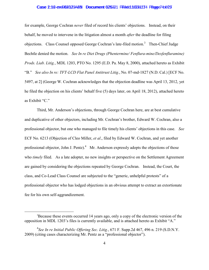### Case 2:12-cve08232344N Document 625321 Filed 10221174 Page 74 of 27

for example, George Cochran *never* filed of record his clients' objections. Instead, on their behalf, he moved to intervene in the litigation almost a month *after* the deadline for filing objections. Class Counsel opposed George Cochran's late-filed motion.<sup>3</sup> Then-Chief Judge Bechtle denied the motion. *See In re Diet Drugs (Phentermine/ Fenflura-mine/Dexfenfluramine) Prods. Liab. Litig.*, MDL 1203, PTO No. 1295 (E.D. Pa. May 8, 2000), attached hereto as Exhibit "B." *See also In re: TFT-LCD Flat Panel Antitrust Litig.*, No. 07-md-1827 (N.D. Cal.) [ECF No. 5497, at 2] (George W. Cochran acknowledges that the objection deadline was April 13, 2012, yet he filed the objection on his clients' behalf five (5) days later, on April 18, 2012), attached hereto as Exhibit "C."

Third, Mr. Anderson's objections, through George Cochran here, are at best cumulative and duplicative of other objectors, including Mr. Cochran's brother, Edward W. Cochran, also a professional objector, but one who managed to file timely his clients' objections in this case. *See* ECF No. 6213 (Objection of Cleo Miller, *et al*., filed by Edward W. Cochran, and yet another professional objector, John J. Pentz). $4$  Mr. Anderson expressly adopts the objections of those who *timely* filed. As a late adopter, no new insights or perspective on the Settlement Agreement are gained by considering the objections repeated by George Cochran. Instead, the Court, the class, and Co-Lead Class Counsel are subjected to the "generic, unhelpful protests" of a professional objector who has lodged objections in an obvious attempt to extract an extortionate fee for his own self-aggrandizement.

 $\overline{a}$ 

<sup>&</sup>lt;sup>3</sup>Because these events occurred 14 years ago, only a copy of the electronic version of the opposition in MDL 1203's files is currently available, and is attached hereto as Exhibit "A."

<sup>4</sup> *See In re Initial Public Offering Sec. Litig.*, 671 F. Supp.2d 467, 496 n. 219 (S.D.N.Y. 2009) (citing cases characterizing Mr. Pentz as a "professional objector").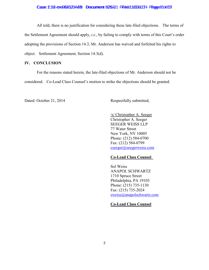### Case 2:12-cve08232344N Document 625321 Filed d10221174 Page 85 of 27

All told, there is no justification for considering these late-filed objections. The terms of the Settlement Agreement should apply, *i.e.*, by failing to comply with terms of this Court's order adopting the provisions of Section 14.3, Mr. Anderson has waived and forfeited his rights to object. Settlement Agreement, Section 14.3(d).

### **IV. CONCLUSION**

For the reasons stated herein, the late-filed objections of Mr. Anderson should not be considered. Co-Lead Class Counsel's motion to strike the objections should be granted.

Dated: October 21, 2014 Respectfully submitted,

/s/ Christopher A. Seeger Christopher A. Seeger SEEGER WEISS LLP 77 Water Street New York, NY 10005 Phone: (212) 584-0700 Fax: (212) 584-0799 cseeger@seegerweiss.com

### **Co-Lead Class Counsel**

Sol Weiss ANAPOL SCHWARTZ 1710 Spruce Street Philadelphia, PA 19103 Phone: (215) 735-1130 Fax: (215) 735-2024 sweiss@anapolschwartz.com

### **Co-Lead Class Counsel**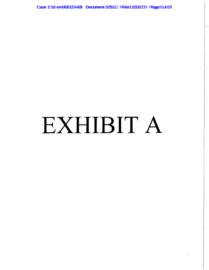Case 2:12-cvd082323AdR Document 625322 Filedd10221174 Page 210628

# EXHIBIT A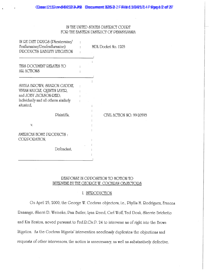### IN THE UNITED STATES DISTRICT COURT FOR THE EASTERN DISTRICT OF PENNSYLVANIA

| IN RE DIET DRUGS (Phentermine/<br>Fenfluramine/Dexfenfluramine)<br>PRODUCT& LIABILITY LITIGATION                                              | MDL Docket No. 1203       |
|-----------------------------------------------------------------------------------------------------------------------------------------------|---------------------------|
| THIS DOCUMENT RELATES TO<br>ALL ACTIONS                                                                                                       |                           |
| SHEILA BROWN, SHARON GADDIE,<br>VIVIAN NAUGLE, QUINTIN LAYER,<br>and JOBY JACK&ON-REID,<br>Individually and all others similarly<br>situated, |                           |
| Plaintiffs.<br>V.                                                                                                                             | CIVIL ACTION NO. 99-20593 |
| AMERICAN HOME PRODUCT&:<br>CORPORATION,                                                                                                       |                           |
| Defendant.                                                                                                                                    |                           |

### RESPONSE IN OPPOSITION TO MOTION TO INTERVENE BY THE GEORGE W. COCHRAN OBJECTORS

### I. INTRODUCTION

On April 25, 2000, the George W. Cochran objectors, i.e., Phyllis M. Rodriguez, Frances Dammage, Sherri D. Weineke, Dam Butler, Lynn Deed, Carl Wolf, Ted Doak, Sherrie Brichetto and Kim Heaton, moved pursuant to Fed.D.Civ.D. 24 to intervene as of right into the Brown litigation. As the Cochran litigants' intervention needlessly duplicates the objections and requests of other intervenors, the motion is unnecessary, as well as substantively defective.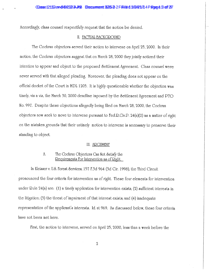Accordingly, class counsel respectfully request that the motion be denied.

### II. FACTUAL BACKGROUND

The Cochran objectors served their motion to intervene on April 25, 2000. In their motion, the Cochran objectors suggest that on March 28, 2000 they jointly noticed their intention to appear and object to the proposed &ettlement Agreement. Class counsel were never served with that alleged pleading. Moreover, the pleading does not appear on the official docket of the Court in MDL 1203. It is highly questionable whether the objection was timely, vis a vis, the March 30, 2000 deadline imposed by the Settlement Agreement and PTO No. 997. Despite these objections allegedly being filed on March 28, 2000, the Cochran objectors now seek to move to intervene pursuant to  $\text{Fed.P.Civ.P. } 24(a)(2)$  as a matter of right on the mistaken grounds that their untimely motion to intervene is necessary to preserve their standing to object.

### III. ARGUMENT

### $\Lambda$ . The Cochran Objectors Can Not Satisfy the <u>Requirements</u> For Intervention as of Right.

In Kleisser v. U.S. Forest Services, 157 F.3d 964 (3d Cir. 1998), the Third Circuit pronounced the four criteria for intervention as of right. These four elements for intervention under Quie 24(a) are: (1) a timely application for intervention exists; (2) sufficient interests in the litigation; (3) the threat of impairment of that interest exists; and (4) inadequate representation of the applicant's interests. Id. at 969. As discussed below, these four criteria have not been met here.

First, the motion to intervene, served on April 25, 2000, less than a week before the

 $\overline{2}$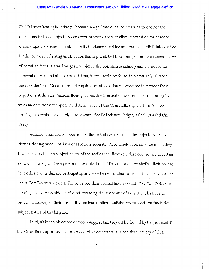### Casse 12162 en 184262-3 AVB Documment \$25-3-2 Fire ted 1/2/4/1/1 4 P age d 2 of 27

Final Fairness hearing is untimely. Because a significant question exists as to whether the objections by these objectors were ever properly made, to allow intervention for persons whose objections were untimely in the first instance provides no meaningful relief. Intervention for the purpose of stating an objection that is prohibited from being stated as a consequence of its untimeliness is a useless gesture. Since the objection is untimely and the motion for intervention was filed at the eleventh hour, it too should be found to be untimely. Further, because the Third Circuit does not require the intervention of objectors to present their objections at the Final Fairness Hearing or require intervention as predicate to standing by which an objector may appeal the determination of this Court following the Final Fairness Hearing, intervention is entirely unnecessary. See Bell Atlantic v. Bolger, 2 F.3d 1304 (3d Cir. 1993).

Second, class counsel assume that the factual averments that the objectors are U.S. citizens that ingested Pondimin or Redux is accurate. Accordingly, it would appear that they have an interest in the subject matter of the settlement. However, class counsel are uncertain as to whether any of these persons have opted out of the settlement or whether their counsel have other clients that are participating in the settlement in which case, a disqualifying conflict under Corn Derivatives exists. Further, since their counsel have violated PTO No. 1244, as to the obligations to provide an affidavit regarding the composite of their client base, or to provide discovery of their clients, it is unclear whether a satisfactory interest remains in the subject matter of this litigation.

Third, while the objectors correctly suggest that they will be bound by the judgment if this Court finally approves the proposed class settlement, it is not clear that any of their

 $\mathbf{3}$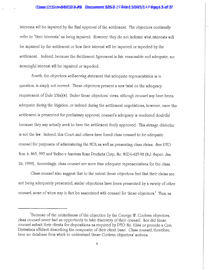### Casse 12162 en 184262-3 ANB Documment \$25-3-2 Fire ted 1/2/4/1/1 4 P age d 3 off 27

interests will be impaired by the final approval of the settlement. The objectors continually refer to "their interests" as being impaired. However, they do not indicate what interests will be impaired by the settlement or how their interest will be impaired or impeded by the settlement. Indeed, because the Settlement Agreement is fair, reasonable and adequate, no meaningful interest will be impaired or impeded.

Fourth, the objectors self-serving statement that adequate representation is in question, is simply not correct. These objectors present a new twist on the adequacy requirement of Rule 23(a)(4). Under these objectors' views, although counsel may have been adequate during the litigation, or indeed during the settlement negotiations, however, once the settlement is presented for preliminary approval, counsel's adequacy is rendered doubtful because they may actually seek to have the settlement finally approved. This strange dialectic is not the law. Indeed, this Court and others have found class counsel to be adequate counsel for purposes of administering the MDL as well as presenting class claims. See PTO Nos. 6, 865, 997 and Vadino v. American Home Products Corp., No. MID-L-425-98 (N.J. Super. Jan. 26, 1999). Accordingly, class counsel are more than adequate representatives for the class.

Class counsel also suggest that to the extent these objectors feel that their claims are not being adequately presented, similar objections have been presented by a variety of other counsel, some of whom may in fact be associated with counsel for these objectors.<sup>1</sup> Thus, as

<sup>&</sup>lt;sup>1</sup>Because of the untimeliness of the objection by the George W. Cochran objectors, class counsel never had an opportunity to take discovery of their counsel. Nor did these counsel submit their clients for depositions as required by PTO No. 1244 or provide a Corn Derivatives affidavit describing the composite of their client base. Class counsel, therefore, have no database from which to understand these Cochran objectors' motives.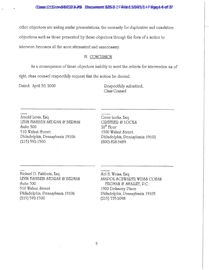CCasse 12162 en 10822323. ANB Doccurrent \$253-2 Fife te 1 11 0 22 1 1 1 4 P Rape 4 4 of 37

other objectors are making similar presentations, the necessity for duplicative and cumulative objections such as those presented by these objectors through the form of a motion to intervene becomes all the more attenuated and unnecessary.

### IV. CONCLUSION

As a consequence of these objectors inability to meet the criteria for intervention as of right, class counsel respectfully request that the motion be denied.

Dated: April 30, 2000

Respectfully submitted, Class Counsel

Arnold Levin, Esq. LEVIN FISHBEIN SEDRAN & BERMAN Suite 500 510 Walnut &treet Philadelphia, Pennsylvania 19106  $(215)$  592-1500

Gene Locks, Esq. GREITZER & LOCKS  $20<sup>th</sup>$  Floor 1500 Walnut &treet Philadelphia, Pennsylvania 19102 (800) 828-3489

Michael D. Fishbein, Esq. LEVIN FISHBEIN SEDRAN & BERMAN Suite 500 510 Walnut &treet Philadelphia, Pennsylvania 19106  $(215) 592 - 1500$ 

Sol H. Weiss, Esq. ANAPOL & CHWARTZ WEI&& COHAN FELDMAN & SMALLEY, P.C. 1900 Delancey Place Philadelphia, Pennsylvania 19103  $(215)$  735-2098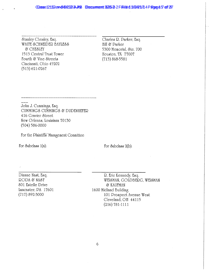### CCasse 12162 enviol 8/2032-34 AVB Doccurrent \$225-3-2 Fire ted 1/2/2/1/14 P agae 45 off 27

Stanley Chesley, Esq. WAITE & CHNEIDER BAYLE&& & CHE&LEY 1513 Central Trust Tower Fourth & Vine Streets Cincinnati, Ohio 45202  $(513) 621 - 0267$ 

Charles R. Parker, Esq. Hill & Parker 5300 Memorial, &te. 700 Houston, TX 77007  $(713) 868-5581$ 

John J. Cummings, Esq. CUMMINGS CUMMINGS & DUDENHEFER 416 Gravier &treet New Orleans, Louisiana 70130  $(504) 586 - 0000$ 

For the Plaintiffs' Management Committee

For Subclass 1(a):

For &ubclass 2(b):

Dianne Nast, Esq. RODA & NAST 801 Estelle Drive Lancaster, PA 17601  $(717)892-3000$ 

R. Eric Kennedy, Esq. WEISMAN, GOLDBERG, WEISMAN **& KAUFMAN** 1600 Midland Building 101 Prospect Avenue West Cleveland, OH 44115  $(216) 781 - 1111$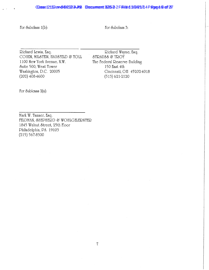### Casse 12162 cm 0822323 ANB Documment \$253-2 Fire ted 1/0/2/1/14 P age d & off 27

For Subclass 1(b):

For &ubclass 3:

Richard Lewis, Esq. COHEN, MILSTEIN, HAUSFELD & TOLL 1100 New York Avenue, N.W. Suite 500, West Tower Washington, D.C. 20005  $(202)$  408-4600

Richard Wayne, Esq. STRAUSS & TROY The Federal Reserve Building 150 East 4th Cincinnati, OH 45202-4018  $(513) 621 - 2120$ 

For Subleass 2(a):

Mark W. Tanner, Esq. FELDMAN, SHEPHERD & WOHLGELERNTER 1845 Walnut &treet, 25th Floor Philadelphia, PA 19103  $(215)$  567-8300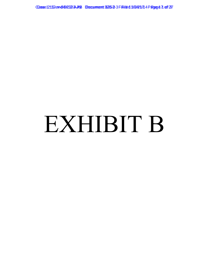Casse 12162ev+084262-3 AYB Document 325-3-3 File ted 11/2/4/1/14 Page 4 7 of 27

# EXHIBIT B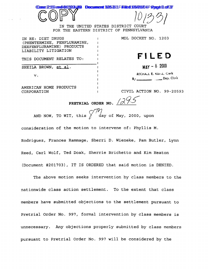

IN THE UNITED STATES DISTRICT COURT FOR THE EASTERN DISTRICT OF PENNSYLVANIA

| IN RE: DIET DRUGS<br>(PHENTERMINE, FENFLURAMINE,  | MDL DOCKET NO. 1203                     |
|---------------------------------------------------|-----------------------------------------|
| DEXFENFLURAMINE) PRODUCTS<br>LIABILITY LITIGATION |                                         |
| THIS DOCUMENT RELATES TO:                         | FILED                                   |
| SHEILA BROWN, et al.                              | $MAT - 82000$                           |
| V <sub>1</sub>                                    | MICHALL E. KUISZ, Cierk<br>$B/$ Dep. Cl |
| AMERICAN HOME PRODUCTS                            |                                         |

AMERICAN HOME PRODUCTS CORPORATION

CIVIL ACTION NO. 99-20593

. **Dep.** Clerk

PRETRIAL ORDER NO.  $/2\sqrt{5}$ 

'/<br>day of May, 2000, upon AND NOW, TO WIT, this

consideration of the motion to intervene of: Phyllis M. Rodriquez, Frances Rammage, Sherri D. Wieneke, Pam Butler, Lynn Reed, Carl Wolf, Ted Doak, Sherrie Brichetto and Kim Heaton (Document #201703), IT IS ORDERED that said motion is DENIED.

The above motion seeks intervention by class members to the nationwide class action settlement. To the extent that class members have submitted objections to the settlement pursuant to Pretrial Order No. 997, formal intervention by class members is unnecessary. Any objections properly submitted by class members pursuant to Pretrial Order No. 997 will be considered by the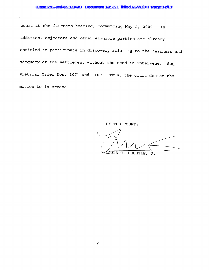### Case 2162 and 82223 HB Document 325331 Filed 103/08/00 Rage 2 of 27

court at the fairness hearing, commencing May 2, 2000. In addition, objectors and other eligible parties are already entitled to participate in discovery relating to the fairness and adequacy of the settlement without the need to intervene. See Pretrial Order Nos. 1071 and 1109. Thus, the court denies the motion to intervene.

> BY THE COURT: LOUIS C. BECHTLE, J.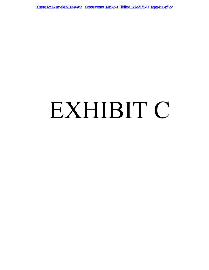Casse 12162ev+084262-3. AYB Document 325-3-4 File ted 11/2/4/1/14 Page 20 of 27

### EXHIBIT C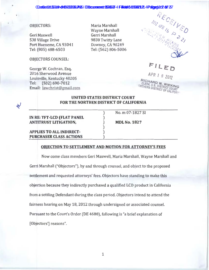### **OBJECTORS:**

Geri Maxwell 538 Village Drive Port Hueneme, CA 93041 Tel: (805) 488-6503

**OBJECTORS COUNSEL:** 

George W. Cochran, Esq. 2016 Sherwood Avenue Louisville, Kentucky 40205 (502) 690-7012 Tel: Email: lawchrist@gmail.com

Maria Marshall **Wayne Marshall** Gerri Marshall 9838 Twitty Lane Downey, CA 90249 Tel: (562) 806-5006



FILED

APR 1 8 2012

RICHARD W. WIEKING ORTHERN DISTRICT OF CALIFORM

### للح

### **UNITED STATES DISTRICT COURT** FOR THE NORTHEN DISTRICT OF CALIFORNIA

IN RE: TFT-LCD (FLAT PANEL **ANTITRUST LITIGATION,** 

No. m 07-1827 SI

**MDL No. 1827** 

### **APPLIES TO ALL INDIRECT-PURCHASER CLASS ACTIONS**

### OBJECTION TO SETTLEMENT AND MOTION FOR ATTORNEY'S FEES

Now come class members Geri Maxwell, Maria Marshall, Wayne Marshall and Gerri Marshall ("Objectors"), by and through counsel, and object to the proposed settlement and requested attorneys' fees. Objectors have standing to make this objection because they indirectly purchased a qualified LCD product in California from a settling Defendant during the class period. Objectors intend to attend the fairness hearing on May 18, 2012 through undersigned or associated counsel. Pursuant to the Court's Order (DE 4688), following is "a brief explanation of [Objectors'] reasons".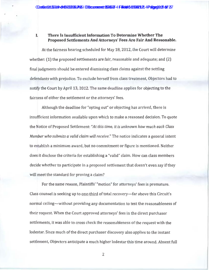### There Is Insufficient Information To Determine Whether The L Proposed Settlements And Attorneys' Fees Are Fair And Reasonable.

At the fairness hearing scheduled for May 18, 2012, the Court will determine whether: (1) the proposed settlements are fair, reasonable and adequate; and (2) final judgments should be entered dismissing class claims against the settling defendants with prejudice. To exclude herself from class treatment, Objectors had to notify the Court by April 13, 2012. The same deadline applies for objecting to the fairness of either the settlement or the attorneys' fees.

Although the deadline for "opting out" or objecting has arrived, there is insufficient information available upon which to make a reasoned decision. To quote the Notice of Proposed Settlement: "At this time, it is unknown how much each Class Member who submits a valid claim will receive." The notice indicates a general intent to establish a minimum award, but no commitment or figure is mentioned. Neither does it disclose the criteria for establishing a "valid" claim. How can class members decide whether to participate in a proposed settlement that doesn't even say if they will meet the standard for proving a claim?

For the same reason, Plaintiffs' "motion" for attorneys' fees is premature. Class counsel is seeking up to one-third of total recovery—far above this Circuit's normal ceiling—without providing any documentation to test the reasonableness of their request. When the Court approved attorneys' fees in the direct purchaser settlements, it was able to cross check the reasonableness of the request with the lodestar. Since much of the direct purchaser discovery also applies to the instant settlement, Objectors anticipate a much higher lodestar this time around. Absent full

 $\overline{2}$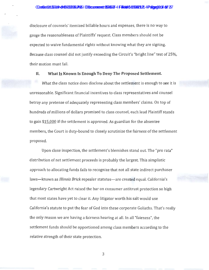disclosure of counsels' itemized billable hours and expenses, there is no way to gauge the reasonableness of Plaintiffs' request. Class members should not be expected to waive fundamental rights without knowing what they are signing. Because class counsel did not justify exceeding the Circuit's "bright line" test of 25%, their motion must fail.

### What Is Known Is Enough To Deny The Proposed Settlement. II.

What the class notice does disclose about the settlement is enough to see it is unreasonable. Significant financial incentives to class representatives and counsel betray any pretense of adequately representing class members' claims. On top of hundreds of millions of dollars promised to class counsel, each lead Plaintiff stands to gain \$15,000 if the settlement is approved. As guardian for the absentee members, the Court is duty-bound to closely scrutinize the fairness of the settlement proposed.

Upon close inspection, the settlement's blemishes stand out. The "pro rata" distribution of net settlement proceeds is probably the largest. This simplistic approach to allocating funds fails to recognize that not all state indirect purchaser laws—known as Illinois Brick repealer statutes—are created equal. California's legendary Cartwright Act raised the bar on consumer antitrust protection so high that most states have yet to clear it. Any litigator worth his salt would use California's statute to put the fear of God into these corporate Goliaths. That's really the only reason we are having a fairness hearing at all. In all "fairness", the settlement funds should be apportioned among class members according to the relative strength of their state protection.

3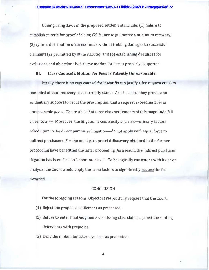Other glaring flaws in the proposed settlement include: (1) failure to establish criteria for proof of claim; (2) failure to guarantee a minimum recovery; (3) cy pres distribution of excess funds without trebling damages to successful claimants (as permitted by state statute); and (4) establishing deadlines for exclusions and objections before the motion for fees is properly supported.

### III. **Class Counsel's Motion For Fees Is Patently Unreasonable.**

Finally, there is no way counsel for Plaintiffs can justify a fee request equal to one-third of total recovery as it currently stands. As discussed, they provide no evidentiary support to rebut the presumption that a request exceeding 25% is unreasonable per se. The truth is that most class settlements of this magnitude fall closer to 20%. Moreover, the litigation's complexity and risk—primary factors relied upon in the direct purchaser litigation—do not apply with equal force to indirect purchasers. For the most part, pretrial discovery obtained in the former proceeding have benefitted the latter proceeding. As a result, the indirect purchaser litigation has been far less "labor intensive". To be logically consistent with its prior analysis, the Court would apply the same factors to significantly reduce the fee awarded.

### **CONCLUSION**

For the foregoing reasons, Objectors respectfully request that the Court:

- (1) Reject the proposed settlement as presented;
- (2) Refuse to enter final judgments dismissing class claims against the settling defendants with prejudice;
- (3) Deny the motion for attorneys' fees as presented;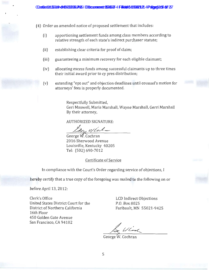(4) Order an amended notice of proposed settlement that includes:

- apportioning settlement funds among class members according to  $(i)$ relative strength of each state's indirect purchaser statute;
- $(ii)$ establishing clear criteria for proof of claim;
- $(iii)$ guaranteeing a minimum recovery for each eligible claimant;
- $(iv)$ allocating excess funds among successful claimants up to three times their initial award prior to cy pres distribution;
- extending "opt out" and objection deadlines until counsel's motion for  $(v)$ attorneys' fees is properly documented.

Respectfully Submitted, Geri Maxwell, Maria Marshall, Wayne Marshall, Gerri Marshall By their attorney,

### **AUTHORIZED SIGNATURE:**

De Wlat-

George W. Cochran 2016 Sherwood Avenue Louisville, Kentucky 40205 Tel: (502) 690-7012

### Certificate of Service

In compliance with the Court's Order regarding service of objections, I

hereby certify that a true copy of the foregoing was mailed to the following on or

before April 13, 2012:

Clerk's Office United States District Court for the District of Northern California 16th Floor 450 Golden Gate Avenue San Francisco, CA 94102

**LCD** Indirect Objections P.O. Box 8025 Faribault, MN 55021-9425

George W. Cochran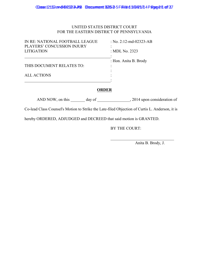### UNITED STATES DISTRICT COURT FOR THE EASTERN DISTRICT OF PENNSYLVANIA

| IN RE: NATIONAL FOOTBALL LEAGUE<br>PLAYERS' CONCUSSION INJURY<br><b>LITIGATION</b> | : No. 2:12-md-02323-AB<br>: MDL No. $2323$ |
|------------------------------------------------------------------------------------|--------------------------------------------|
| THIS DOCUMENT RELATES TO:                                                          | : Hon. Anita B. Brody                      |
| ALL ACTIONS                                                                        |                                            |
|                                                                                    |                                            |

### **ORDER**

AND NOW, on this \_\_\_\_\_\_\_ day of \_\_\_\_\_\_\_\_\_\_\_\_\_\_\_, 2014 upon consideration of

Co-lead Class Counsel's Motion to Strike the Late-filed Objection of Curtis L. Anderson, it is

hereby ORDERED, ADJUDGED and DECREED that said motion is GRANTED.

BY THE COURT:

Anita B. Brody, J.

 $\overline{\mathcal{L}}$  , and the set of the set of the set of the set of the set of the set of the set of the set of the set of the set of the set of the set of the set of the set of the set of the set of the set of the set of the s